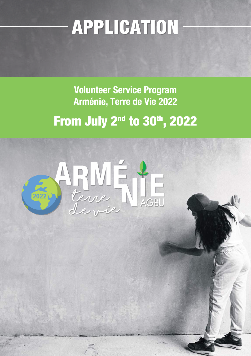## APPLICATION

**Volunteer Service Program Arménie, Terre de Vie 2022 From July 2<sup>nd</sup> to 30<sup>th</sup>, 2022** 

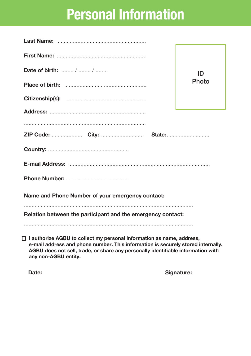## **Personal Information**

| Date of birth:  /  /                                                  | ID<br>Photo |  |  |  |  |
|-----------------------------------------------------------------------|-------------|--|--|--|--|
|                                                                       |             |  |  |  |  |
|                                                                       |             |  |  |  |  |
|                                                                       |             |  |  |  |  |
|                                                                       |             |  |  |  |  |
|                                                                       |             |  |  |  |  |
|                                                                       |             |  |  |  |  |
|                                                                       |             |  |  |  |  |
|                                                                       |             |  |  |  |  |
| Name and Phone Number of your emergency contact:                      |             |  |  |  |  |
| Relation between the participant and the emergency contact:           |             |  |  |  |  |
|                                                                       |             |  |  |  |  |
| I Lauthorize ACRU to collect my nersonal information as name, address |             |  |  |  |  |

 **I authorize AGBU to collect my personal information as name, address, e-mail address and phone number. This information is securely stored internally. AGBU does not sell, trade, or share any personally identifiable information with any non-AGBU entity.**

Date: Signature: Signature: Signature: Signature: Signature: Signature: Signature: Signature: Signature: Signature: Signature: Signature: Signature: Signature: Signature: Signature: Signature: Signature: Signature: Signatu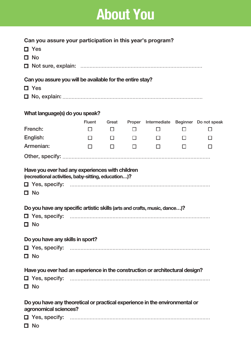## **About You**

| Can you assure your participation in this year's program?<br>$\Box$ Yes<br>□ No                                                                       |                         |                           |                       |                  |        |                                              |
|-------------------------------------------------------------------------------------------------------------------------------------------------------|-------------------------|---------------------------|-----------------------|------------------|--------|----------------------------------------------|
| Can you assure you will be available for the entire stay?<br>$\Box$ Yes                                                                               |                         |                           |                       |                  |        |                                              |
| What language(s) do you speak?                                                                                                                        |                         |                           |                       |                  |        |                                              |
| French:<br>English:                                                                                                                                   | <b>Fluent</b><br>□<br>П | Great<br>$\Box$<br>$\Box$ | Proper<br>□<br>$\Box$ | $\Box$<br>$\Box$ | П<br>П | Intermediate Beginner Do not speak<br>П<br>П |
| Armenian:                                                                                                                                             | П                       | $\Box$                    | $\Box$                | $\Box$           | П      | П                                            |
| (recreational activities, baby-sitting, education)?<br>$\Box$ No<br>Do you have any specific artistic skills (arts and crafts, music, dance)?<br>□ No |                         |                           |                       |                  |        |                                              |
| Do you have any skills in sport?<br>$\Box$ No                                                                                                         |                         |                           |                       |                  |        |                                              |
| Have you ever had an experience in the construction or architectural design?<br>$\Box$ No                                                             |                         |                           |                       |                  |        |                                              |
| Do you have any theoretical or practical experience in the environmental or<br>agronomical sciences?<br>$\Box$ No                                     |                         |                           |                       |                  |        |                                              |